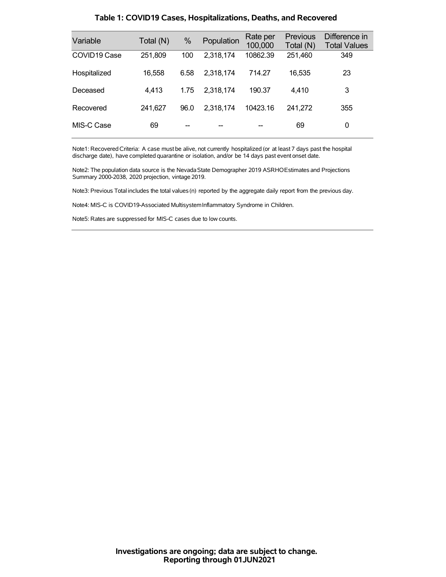| Variable     | Total (N) | $\%$ | Population | Rate per<br>100,000 | <b>Previous</b><br>Total (N) | Difference in<br><b>Total Values</b> |
|--------------|-----------|------|------------|---------------------|------------------------------|--------------------------------------|
| COVID19 Case | 251,809   | 100  | 2,318,174  | 10862.39            | 251,460                      | 349                                  |
| Hospitalized | 16,558    | 6.58 | 2,318,174  | 714.27              | 16,535                       | 23                                   |
| Deceased     | 4,413     | 1.75 | 2,318,174  | 190.37              | 4.410                        | 3                                    |
| Recovered    | 241,627   | 96.0 | 2,318,174  | 10423.16            | 241.272                      | 355                                  |
| MIS-C Case   | 69        |      |            |                     | 69                           | 0                                    |

### **Table 1: COVID19 Cases, Hospitalizations, Deaths, and Recovered**

Note1: Recovered Criteria: A case must be alive, not currently hospitalized (or at least 7 days past the hospital discharge date), have completed quarantine or isolation, and/or be 14 days past event onset date.

Note2: The population data source is the Nevada State Demographer 2019 ASRHOEstimates and Projections Summary 2000-2038, 2020 projection, vintage 2019.

Note3: Previous Total includes the total values(n) reported by the aggregate daily report from the previous day.

Note4: MIS-C is COVID19-Associated MultisystemInflammatory Syndrome in Children.

Note5: Rates are suppressed for MIS-C cases due to low counts.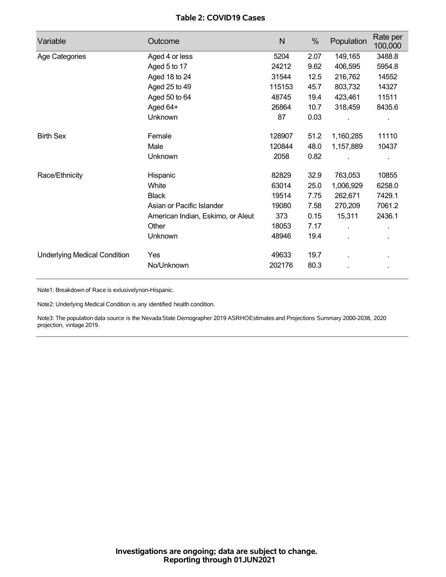## **Table 2: COVID19 Cases**

| Variable                            | Outcome                           | $\mathsf{N}$ | %    | Population | Rate per<br>100,000 |
|-------------------------------------|-----------------------------------|--------------|------|------------|---------------------|
| Age Categories                      | Aged 4 or less                    | 5204         | 2.07 | 149,165    | 3488.8              |
|                                     | Aged 5 to 17                      | 24212        | 9.62 | 406,595    | 5954.8              |
|                                     | Aged 18 to 24                     | 31544        | 12.5 | 216,762    | 14552               |
|                                     | Aged 25 to 49                     | 115153       | 45.7 | 803,732    | 14327               |
|                                     | Aged 50 to 64                     | 48745        | 19.4 | 423,461    | 11511               |
|                                     | Aged 64+                          | 26864        | 10.7 | 318,459    | 8435.6              |
|                                     | Unknown                           | 87           | 0.03 |            |                     |
| <b>Birth Sex</b>                    | Female                            | 128907       | 51.2 | 1,160,285  | 11110               |
|                                     | Male                              | 120844       | 48.0 | 1,157,889  | 10437               |
|                                     | Unknown                           | 2058         | 0.82 |            |                     |
| Race/Ethnicity                      | Hispanic                          | 82829        | 32.9 | 763,053    | 10855               |
|                                     | White                             | 63014        | 25.0 | 1,006,929  | 6258.0              |
|                                     | <b>Black</b>                      | 19514        | 7.75 | 262,671    | 7429.1              |
|                                     | Asian or Pacific Islander         | 19080        | 7.58 | 270,209    | 7061.2              |
|                                     | American Indian, Eskimo, or Aleut | 373          | 0.15 | 15,311     | 2436.1              |
|                                     | Other                             | 18053        | 7.17 |            |                     |
|                                     | Unknown                           | 48946        | 19.4 |            |                     |
| <b>Underlying Medical Condition</b> | Yes                               | 49633        | 19.7 |            |                     |
|                                     | No/Unknown                        | 202176       | 80.3 |            |                     |

Note1: Breakdown of Race is exlusivelynon-Hispanic.

Note2: Underlying Medical Condition is any identified health condition.

Note3: The population data source is the NevadaState Demographer 2019 ASRHOEstimates and Projections Summary 2000-2038, 2020 projection, vintage 2019.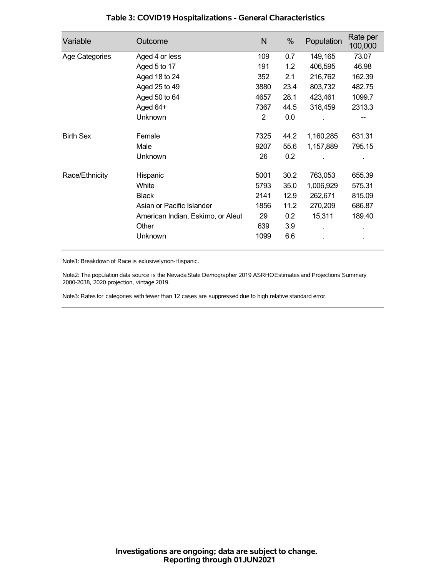| Variable         | Outcome                           | N    | %    | Population | Rate per<br>100,000 |
|------------------|-----------------------------------|------|------|------------|---------------------|
| Age Categories   | Aged 4 or less                    | 109  | 0.7  | 149,165    | 73.07               |
|                  | Aged 5 to 17                      | 191  | 1.2  | 406,595    | 46.98               |
|                  | Aged 18 to 24                     | 352  | 2.1  | 216,762    | 162.39              |
|                  | Aged 25 to 49                     | 3880 | 23.4 | 803,732    | 482.75              |
|                  | Aged 50 to 64                     | 4657 | 28.1 | 423,461    | 1099.7              |
|                  | Aged 64+                          | 7367 | 44.5 | 318,459    | 2313.3              |
|                  | Unknown                           | 2    | 0.0  |            |                     |
| <b>Birth Sex</b> | Female                            | 7325 | 44.2 | 1,160,285  | 631.31              |
|                  | Male                              | 9207 | 55.6 | 1,157,889  | 795.15              |
|                  | <b>Unknown</b>                    | 26   | 0.2  |            |                     |
| Race/Ethnicity   | Hispanic                          | 5001 | 30.2 | 763,053    | 655.39              |
|                  | White                             | 5793 | 35.0 | 1,006,929  | 575.31              |
|                  | <b>Black</b>                      | 2141 | 12.9 | 262,671    | 815.09              |
|                  | Asian or Pacific Islander         | 1856 | 11.2 | 270,209    | 686.87              |
|                  | American Indian, Eskimo, or Aleut | 29   | 0.2  | 15,311     | 189.40              |
|                  | Other                             | 639  | 3.9  |            |                     |
|                  | Unknown                           | 1099 | 6.6  |            |                     |

## **Table 3: COVID19 Hospitalizations - General Characteristics**

Note1: Breakdown of Race is exlusivelynon-Hispanic.

Note2: The population data source is the Nevada State Demographer 2019 ASRHOEstimates and Projections Summary 2000-2038, 2020 projection, vintage 2019.

Note3: Rates for categories with fewer than 12 cases are suppressed due to high relative standard error.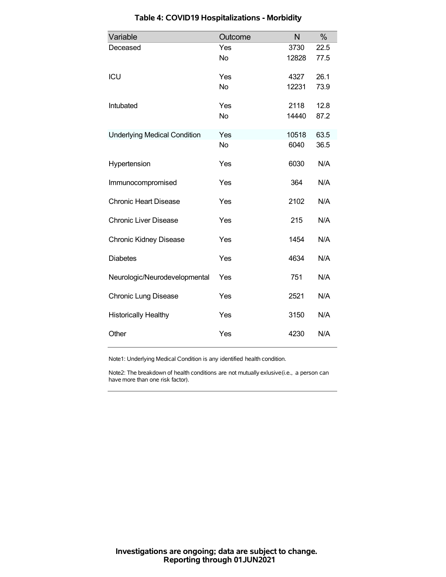| Variable                            | Outcome   | N     | %    |
|-------------------------------------|-----------|-------|------|
| Deceased                            | Yes       | 3730  | 22.5 |
|                                     | <b>No</b> | 12828 | 77.5 |
| ICU                                 | Yes       | 4327  | 26.1 |
|                                     | <b>No</b> | 12231 | 73.9 |
| Intubated                           | Yes       | 2118  | 12.8 |
|                                     | <b>No</b> | 14440 | 87.2 |
| <b>Underlying Medical Condition</b> | Yes       | 10518 | 63.5 |
|                                     | <b>No</b> | 6040  | 36.5 |
| Hypertension                        | Yes       | 6030  | N/A  |
| Immunocompromised                   | Yes       | 364   | N/A  |
| <b>Chronic Heart Disease</b>        | Yes       | 2102  | N/A  |
| <b>Chronic Liver Disease</b>        | Yes       | 215   | N/A  |
| <b>Chronic Kidney Disease</b>       | Yes       | 1454  | N/A  |
| <b>Diabetes</b>                     | Yes       | 4634  | N/A  |
| Neurologic/Neurodevelopmental       | Yes       | 751   | N/A  |
| <b>Chronic Lung Disease</b>         | Yes       | 2521  | N/A  |
| <b>Historically Healthy</b>         | Yes       | 3150  | N/A  |
| Other                               | Yes       | 4230  | N/A  |

# **Table 4: COVID19 Hospitalizations - Morbidity**

Note1: Underlying Medical Condition is any identified health condition.

Note2: The breakdown of health conditions are not mutually exlusive(i.e., a person can have more than one risk factor).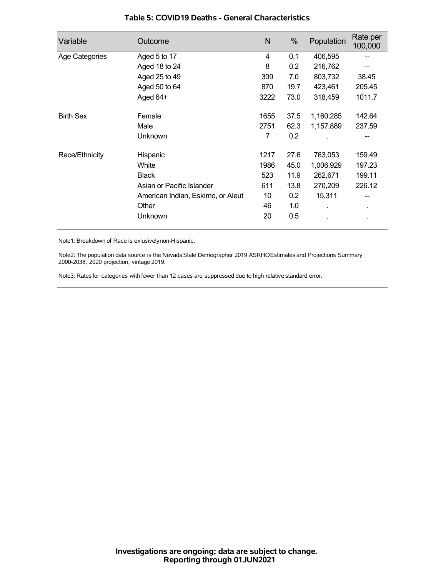| Variable         | Outcome                           | N    | %    | Population | Rate per<br>100,000 |
|------------------|-----------------------------------|------|------|------------|---------------------|
| Age Categories   | Aged 5 to 17                      | 4    | 0.1  | 406,595    |                     |
|                  | Aged 18 to 24                     | 8    | 0.2  | 216,762    |                     |
|                  | Aged 25 to 49                     | 309  | 7.0  | 803,732    | 38.45               |
|                  | Aged 50 to 64                     | 870  | 19.7 | 423,461    | 205.45              |
|                  | Aged 64+                          | 3222 | 73.0 | 318,459    | 1011.7              |
| <b>Birth Sex</b> | Female                            | 1655 | 37.5 | 1,160,285  | 142.64              |
|                  | Male                              | 2751 | 62.3 | 1,157,889  | 237.59              |
|                  | Unknown                           | 7    | 0.2  |            |                     |
| Race/Ethnicity   | Hispanic                          | 1217 | 27.6 | 763,053    | 159.49              |
|                  | White                             | 1986 | 45.0 | 1,006,929  | 197.23              |
|                  | <b>Black</b>                      | 523  | 11.9 | 262,671    | 199.11              |
|                  | Asian or Pacific Islander         | 611  | 13.8 | 270,209    | 226.12              |
|                  | American Indian, Eskimo, or Aleut | 10   | 0.2  | 15,311     |                     |
|                  | Other                             | 46   | 1.0  |            | $\blacksquare$      |
|                  | Unknown                           | 20   | 0.5  |            |                     |

### **Table 5: COVID19 Deaths - General Characteristics**

Note1: Breakdown of Race is exlusivelynon-Hispanic.

Note2: The population data source is the Nevada State Demographer 2019 ASRHOEstimates and Projections Summary 2000-2038, 2020 projection, vintage 2019.

Note3: Rates for categories with fewer than 12 cases are suppressed due to high relative standard error.